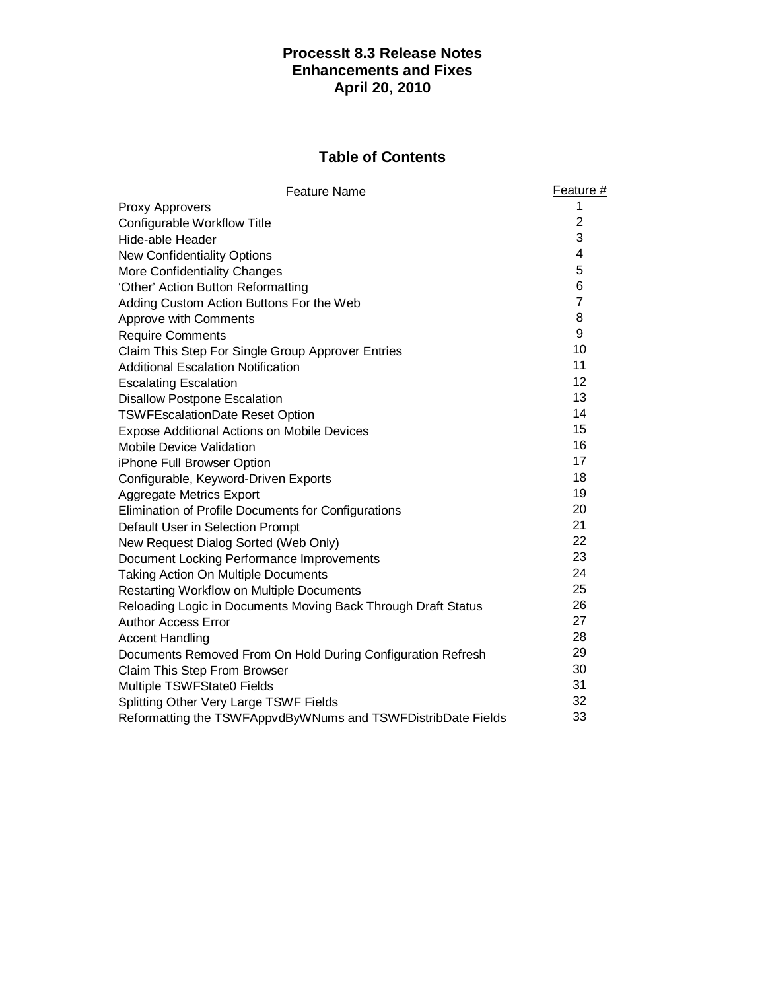# **ProcessIt 8.3 Release Notes Enhancements and Fixes April 20, 2010**

# **Table of Contents**

| <b>Feature Name</b>                                           | Feature #      |
|---------------------------------------------------------------|----------------|
| <b>Proxy Approvers</b>                                        | 1              |
| Configurable Workflow Title                                   | $\overline{2}$ |
| Hide-able Header                                              | 3              |
| <b>New Confidentiality Options</b>                            | 4              |
| More Confidentiality Changes                                  | 5              |
| 'Other' Action Button Reformatting                            | 6              |
| Adding Custom Action Buttons For the Web                      | $\overline{7}$ |
| Approve with Comments                                         | 8              |
| <b>Require Comments</b>                                       | 9              |
| Claim This Step For Single Group Approver Entries             | 10             |
| <b>Additional Escalation Notification</b>                     | 11             |
| <b>Escalating Escalation</b>                                  | 12             |
| <b>Disallow Postpone Escalation</b>                           | 13             |
| <b>TSWFEscalationDate Reset Option</b>                        | 14             |
| <b>Expose Additional Actions on Mobile Devices</b>            | 15             |
| <b>Mobile Device Validation</b>                               | 16             |
| iPhone Full Browser Option                                    | 17             |
| Configurable, Keyword-Driven Exports                          | 18             |
| <b>Aggregate Metrics Export</b>                               | 19             |
| Elimination of Profile Documents for Configurations           | 20             |
| Default User in Selection Prompt                              | 21             |
| New Request Dialog Sorted (Web Only)                          | 22             |
| Document Locking Performance Improvements                     | 23             |
| <b>Taking Action On Multiple Documents</b>                    | 24             |
| <b>Restarting Workflow on Multiple Documents</b>              | 25             |
| Reloading Logic in Documents Moving Back Through Draft Status | 26             |
| <b>Author Access Error</b>                                    | 27             |
| <b>Accent Handling</b>                                        | 28             |
| Documents Removed From On Hold During Configuration Refresh   | 29             |
| Claim This Step From Browser                                  | 30             |
| Multiple TSWFState0 Fields                                    | 31             |
| Splitting Other Very Large TSWF Fields                        | 32             |
| Reformatting the TSWFAppvdByWNums and TSWFDistribDate Fields  | 33             |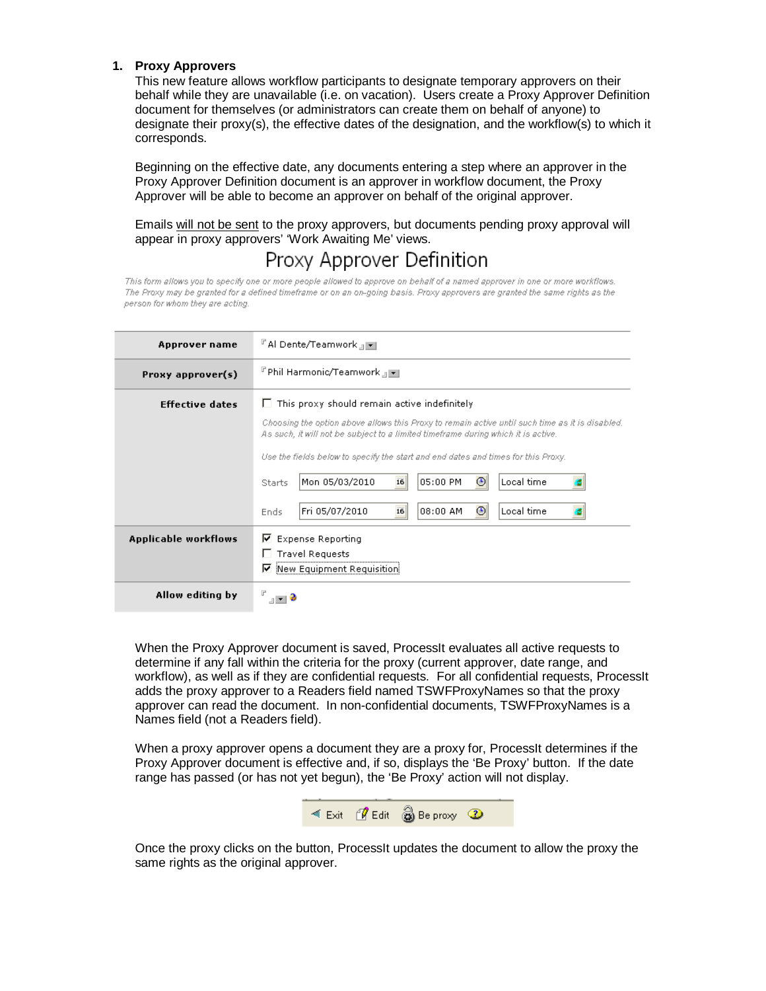# **1. Proxy Approvers**

This new feature allows workflow participants to designate temporary approvers on their behalf while they are unavailable (i.e. on vacation). Users create a Proxy Approver Definition document for themselves (or administrators can create them on behalf of anyone) to designate their proxy(s), the effective dates of the designation, and the workflow(s) to which it corresponds.

Beginning on the effective date, any documents entering a step where an approver in the Proxy Approver Definition document is an approver in workflow document, the Proxy Approver will be able to become an approver on behalf of the original approver.

Emails will not be sent to the proxy approvers, but documents pending proxy approval will appear in proxy approvers' 'Work Awaiting Me' views.

# Proxy Approver Definition

This form allows you to specify one or more people allowed to approve on behalf of a named approver in one or more workflows. The Proxy may be granted for a defined timeframe or on an on-going basis. Proxy approvers are granted the same rights as the person for whom they are acting.

| Approver name          | 『Al Dente/Teamwork』 ▼                                                                                                                                                                                                                                                                                                                                                                             |  |  |
|------------------------|---------------------------------------------------------------------------------------------------------------------------------------------------------------------------------------------------------------------------------------------------------------------------------------------------------------------------------------------------------------------------------------------------|--|--|
| Proxy approver(s)      | 『Phil Harmonic/Teamwork』■                                                                                                                                                                                                                                                                                                                                                                         |  |  |
| <b>Effective dates</b> | $\Box$ This proxy should remain active indefinitely<br>Choosing the option above allows this Proxy to remain active until such time as it is disabled.<br>As such, it will not be subject to a limited timeframe during which it is active.<br>Use the fields below to specify the start and end dates and times for this Proxy.<br>Mon 05/03/2010<br>05:00 PM<br>Local time<br>16<br>⊙<br>Starts |  |  |
|                        | 16<br>⊙<br>Fri 05/07/2010<br>08:00 AM<br>Local time<br>Ends                                                                                                                                                                                                                                                                                                                                       |  |  |
| Applicable workflows   | $\triangledown$ Expense Reporting<br>$\Box$ Travel Requests<br>⊽<br>New Equipment Requisition                                                                                                                                                                                                                                                                                                     |  |  |
| Allow editing by       |                                                                                                                                                                                                                                                                                                                                                                                                   |  |  |

When the Proxy Approver document is saved, ProcessIt evaluates all active requests to determine if any fall within the criteria for the proxy (current approver, date range, and workflow), as well as if they are confidential requests. For all confidential requests, ProcessIt adds the proxy approver to a Readers field named TSWFProxyNames so that the proxy approver can read the document. In non-confidential documents, TSWFProxyNames is a Names field (not a Readers field).

When a proxy approver opens a document they are a proxy for, ProcessIt determines if the Proxy Approver document is effective and, if so, displays the 'Be Proxy' button. If the date range has passed (or has not yet begun), the 'Be Proxy' action will not display.



Once the proxy clicks on the button, ProcessIt updates the document to allow the proxy the same rights as the original approver.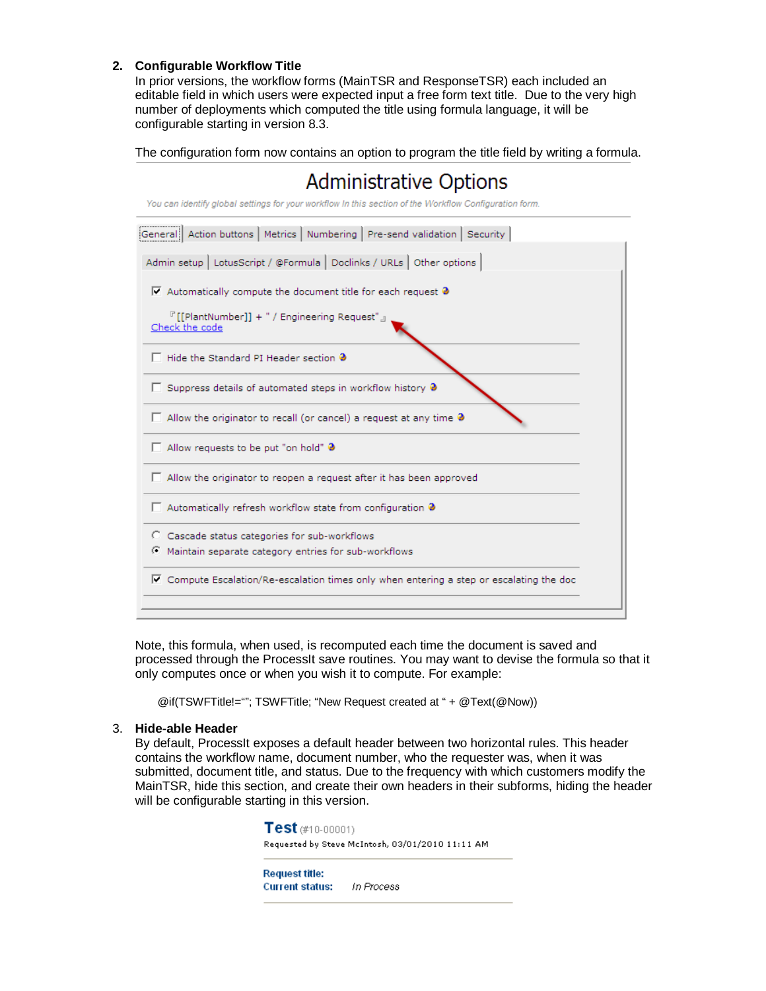# **2. Configurable Workflow Title**

In prior versions, the workflow forms (MainTSR and ResponseTSR) each included an editable field in which users were expected input a free form text title. Due to the very high number of deployments which computed the title using formula language, it will be configurable starting in version 8.3.

The configuration form now contains an option to program the title field by writing a formula.



Note, this formula, when used, is recomputed each time the document is saved and processed through the ProcessIt save routines. You may want to devise the formula so that it only computes once or when you wish it to compute. For example:

@if(TSWFTitle!=""; TSWFTitle; "New Request created at " + @Text(@Now))

# 3. **Hide-able Header**

By default, ProcessIt exposes a default header between two horizontal rules. This header contains the workflow name, document number, who the requester was, when it was submitted, document title, and status. Due to the frequency with which customers modify the MainTSR, hide this section, and create their own headers in their subforms, hiding the header will be configurable starting in this version.

> $Test$  (#10-00001) Requested by Steve McIntosh, 03/01/2010 11:11 AM

**Request title: Current status:** In Process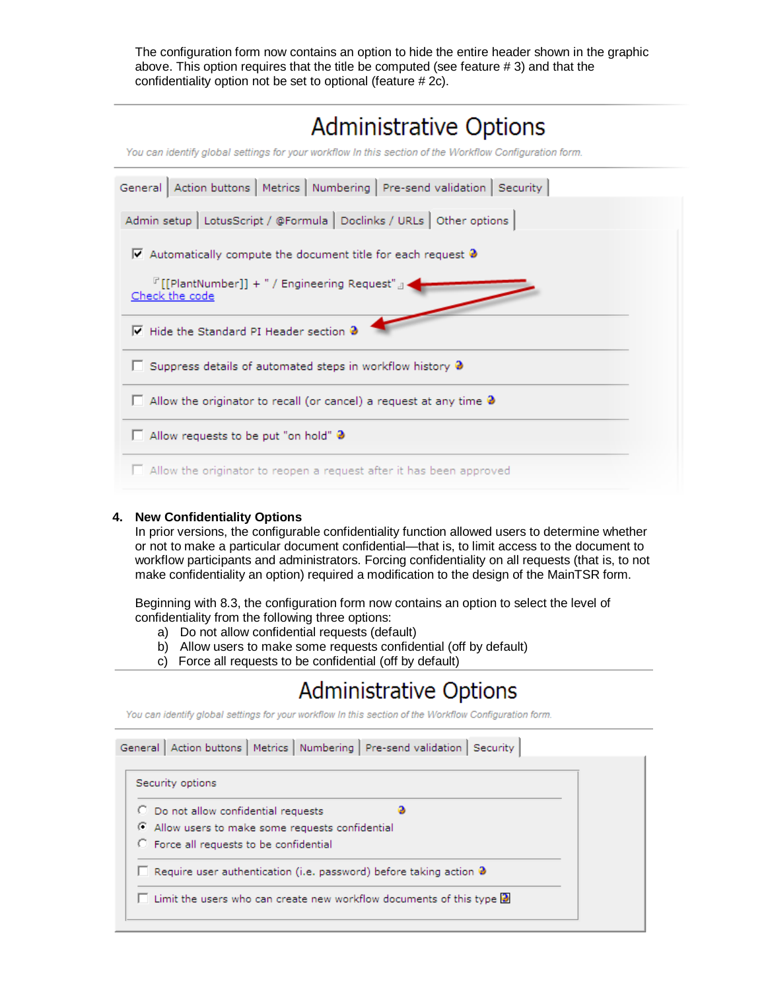The configuration form now contains an option to hide the entire header shown in the graphic above. This option requires that the title be computed (see feature # 3) and that the confidentiality option not be set to optional (feature # 2c).

| Administrative Options<br>You can identify global settings for your workflow In this section of the Workflow Configuration form. |
|----------------------------------------------------------------------------------------------------------------------------------|
| General   Action buttons   Metrics   Numbering   Pre-send validation   Security                                                  |
| Admin setup   LotusScript / @Formula   Doclinks / URLs   Other options                                                           |
| $\triangledown$ Automatically compute the document title for each request $\clubsuit$                                            |
| $^{\mathbb{P}}$ [[PlantNumber]] + " / Engineering Request" $_{\mathbb{J}}$ +<br>Check the code                                   |
| □ Hide the Standard PI Header section ●                                                                                          |
| $\Box$ Suppress details of automated steps in workflow history $\partial$                                                        |
| $\Box$ Allow the originator to recall (or cancel) a request at any time $\mathbf 3$                                              |
| $\Box$ Allow requests to be put "on hold" $\partial$                                                                             |
| $\Box$ Allow the originator to reopen a request after it has been approved                                                       |

# **4. New Confidentiality Options**

In prior versions, the configurable confidentiality function allowed users to determine whether or not to make a particular document confidential—that is, to limit access to the document to workflow participants and administrators. Forcing confidentiality on all requests (that is, to not make confidentiality an option) required a modification to the design of the MainTSR form.

Beginning with 8.3, the configuration form now contains an option to select the level of confidentiality from the following three options:

- a) Do not allow confidential requests (default)
- b) Allow users to make some requests confidential (off by default)
- c) Force all requests to be confidential (off by default)

# **Administrative Options**

You can identify global settings for your workflow In this section of the Workflow Configuration form.

| General   Action buttons   Metrics   Numbering   Pre-send validation   Security     |  |
|-------------------------------------------------------------------------------------|--|
| Security options                                                                    |  |
| C Do not allow confidential requests                                                |  |
| C Allow users to make some requests confidential                                    |  |
| <b>C</b> Force all requests to be confidential                                      |  |
| <b>E</b> Require user authentication (i.e. password) before taking action $\bullet$ |  |
| Limit the users who can create new workflow documents of this type $\mathbf{D}$     |  |
|                                                                                     |  |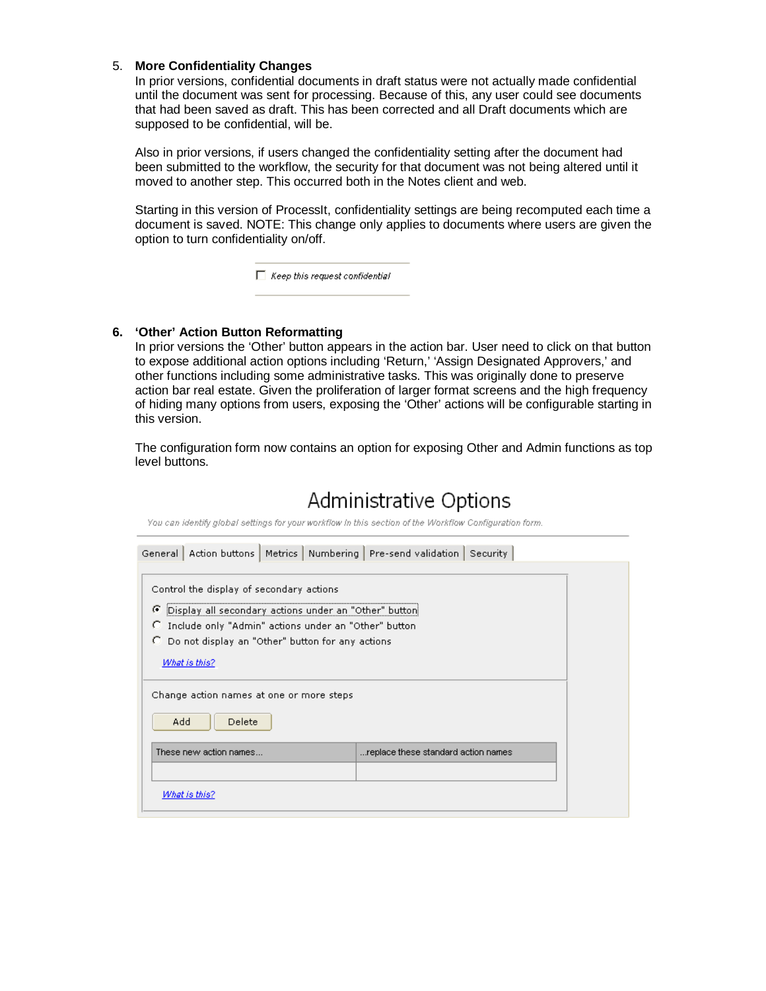### 5. **More Confidentiality Changes**

In prior versions, confidential documents in draft status were not actually made confidential until the document was sent for processing. Because of this, any user could see documents that had been saved as draft. This has been corrected and all Draft documents which are supposed to be confidential, will be.

Also in prior versions, if users changed the confidentiality setting after the document had been submitted to the workflow, the security for that document was not being altered until it moved to another step. This occurred both in the Notes client and web.

Starting in this version of ProcessIt, confidentiality settings are being recomputed each time a document is saved. NOTE: This change only applies to documents where users are given the option to turn confidentiality on/off.

 $\Box$  Keep this request confidential

# **6. 'Other' Action Button Reformatting**

In prior versions the 'Other' button appears in the action bar. User need to click on that button to expose additional action options including 'Return,' 'Assign Designated Approvers,' and other functions including some administrative tasks. This was originally done to preserve action bar real estate. Given the proliferation of larger format screens and the high frequency of hiding many options from users, exposing the 'Other' actions will be configurable starting in this version.

The configuration form now contains an option for exposing Other and Admin functions as top level buttons.

| AUITIIIIISU AUVE OPUOIIS<br>You can identify global settings for your workflow In this section of the Workflow Configuration form.                                                                                                            |                            |  |  |
|-----------------------------------------------------------------------------------------------------------------------------------------------------------------------------------------------------------------------------------------------|----------------------------|--|--|
| Action buttons   Metrics   Numbering   Pre-send validation   Security  <br>General                                                                                                                                                            |                            |  |  |
| Control the display of secondary actions<br>G<br>Display all secondary actions under an "Other" button<br>Include only "Admin" actions under an "Other" button<br>o<br>Do not display an "Other" button for any actions<br>о<br>What is this? |                            |  |  |
| Change action names at one or more steps<br>Add<br>Delete                                                                                                                                                                                     |                            |  |  |
| These new action names                                                                                                                                                                                                                        | the standard action names. |  |  |
|                                                                                                                                                                                                                                               |                            |  |  |
| What is this?                                                                                                                                                                                                                                 |                            |  |  |

# Adminictrative Ontions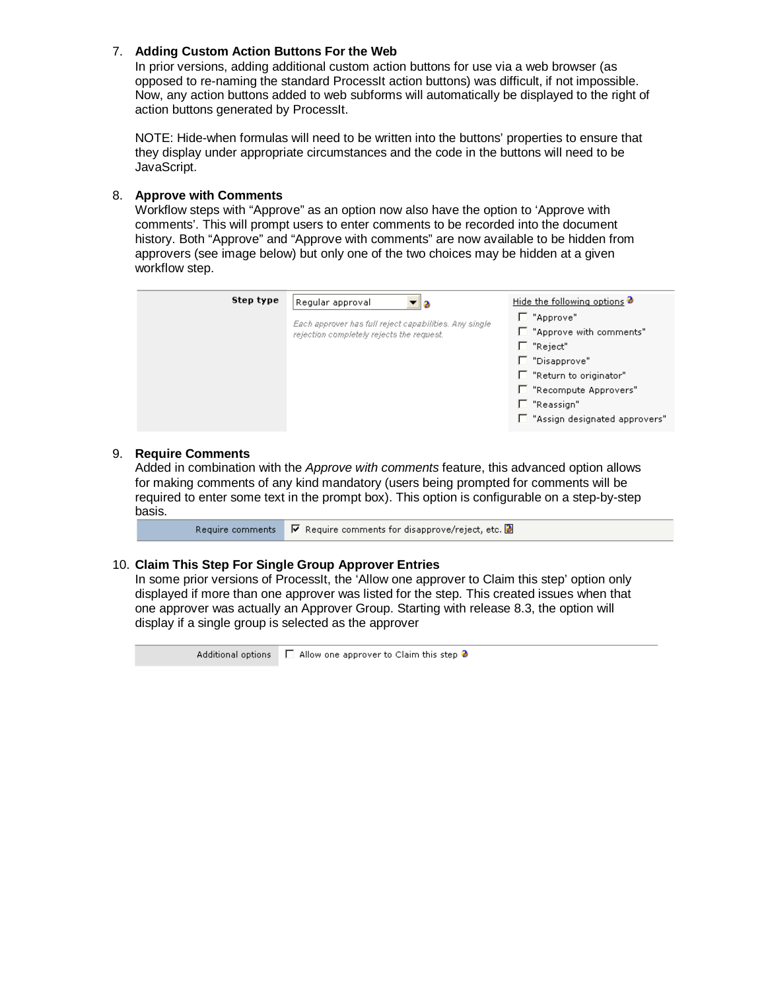# 7. **Adding Custom Action Buttons For the Web**

In prior versions, adding additional custom action buttons for use via a web browser (as opposed to re-naming the standard ProcessIt action buttons) was difficult, if not impossible. Now, any action buttons added to web subforms will automatically be displayed to the right of action buttons generated by ProcessIt.

NOTE: Hide-when formulas will need to be written into the buttons' properties to ensure that they display under appropriate circumstances and the code in the buttons will need to be JavaScript.

# 8. **Approve with Comments**

Workflow steps with "Approve" as an option now also have the option to 'Approve with comments'. This will prompt users to enter comments to be recorded into the document history. Both "Approve" and "Approve with comments" are now available to be hidden from approvers (see image below) but only one of the two choices may be hidden at a given workflow step.



# 9. **Require Comments**

Added in combination with the Approve with comments feature, this advanced option allows for making comments of any kind mandatory (users being prompted for comments will be required to enter some text in the prompt box). This option is configurable on a step-by-step basis.

Require comments  $\overline{\triangledown}$  Require comments for disapprove/reject, etc.  $\overline{\triangledown}$ 

# 10. **Claim This Step For Single Group Approver Entries**

In some prior versions of ProcessIt, the 'Allow one approver to Claim this step' option only displayed if more than one approver was listed for the step. This created issues when that one approver was actually an Approver Group. Starting with release 8.3, the option will display if a single group is selected as the approver

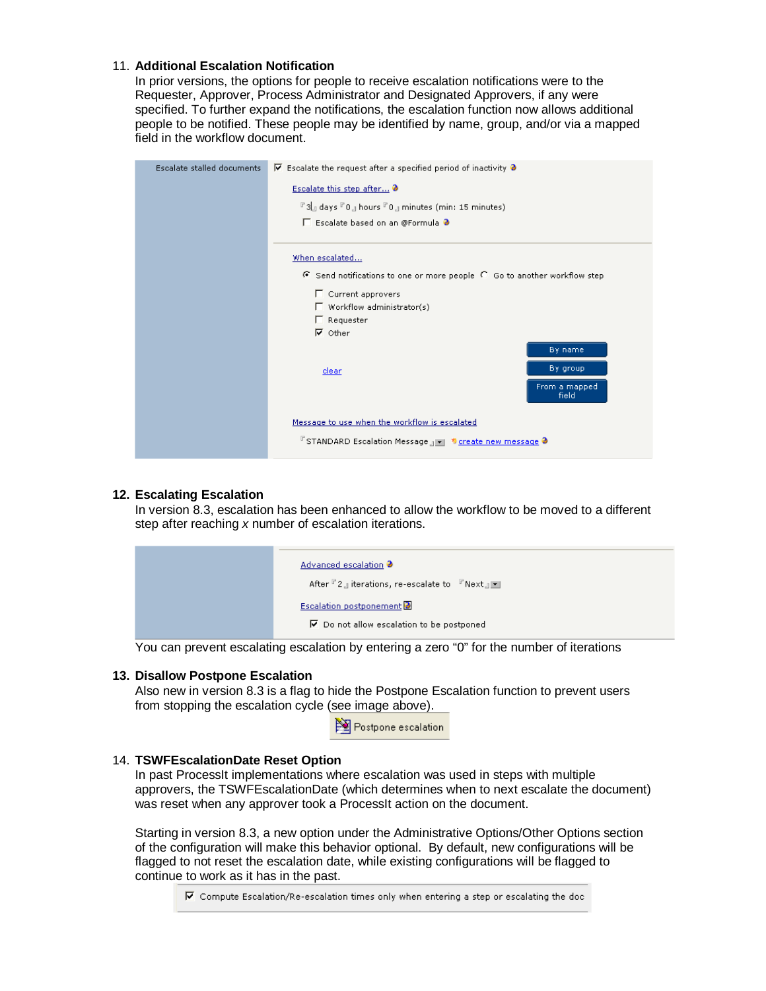# 11. **Additional Escalation Notification**

In prior versions, the options for people to receive escalation notifications were to the Requester, Approver, Process Administrator and Designated Approvers, if any were specified. To further expand the notifications, the escalation function now allows additional people to be notified. These people may be identified by name, group, and/or via a mapped field in the workflow document.

| Escalate stalled documents | $\triangledown$ Escalate the request after a specified period of inactivity $\triangledown$ |                        |
|----------------------------|---------------------------------------------------------------------------------------------|------------------------|
|                            | Escalate this step after                                                                    |                        |
|                            | $F$ 3 days $F$ 0 g hours $F$ 0 g minutes (min: 15 minutes)                                  |                        |
|                            | □ Escalate based on an @Formula ●                                                           |                        |
|                            |                                                                                             |                        |
|                            | When escalated                                                                              |                        |
|                            | $\bullet$ Send notifications to one or more people $\circ$ Go to another workflow step      |                        |
|                            | □ Current approvers                                                                         |                        |
|                            | $\Box$ Workflow administrator(s)                                                            |                        |
|                            | $\Gamma$ Requester                                                                          |                        |
|                            | $\nabla$ Other                                                                              |                        |
|                            |                                                                                             | By name                |
|                            | <b>clear</b>                                                                                | By group               |
|                            |                                                                                             | From a mapped<br>field |
|                            | Message to use when the workflow is escalated                                               |                        |
|                            | <b>F</b> STANDARD Escalation Message <sub>4</sub> F <b>*</b> create new message <b>9</b>    |                        |

# **12. Escalating Escalation**

In version 8.3, escalation has been enhanced to allow the workflow to be moved to a different step after reaching x number of escalation iterations.

| Advanced escalation <b>@</b><br>After $\mathbb{F}_2$ in iterations, re-escalate to $\mathbb{F}_2$ Next $\mathbb{F}_2$ |
|-----------------------------------------------------------------------------------------------------------------------|
| <b>Escalation postponement</b><br>$\overline{V}$ Do not allow escalation to be postponed                              |

You can prevent escalating escalation by entering a zero "0" for the number of iterations

# **13. Disallow Postpone Escalation**

Also new in version 8.3 is a flag to hide the Postpone Escalation function to prevent users from stopping the escalation cycle (see image above).

|  |  | Postpone escalation |  |
|--|--|---------------------|--|
|--|--|---------------------|--|

# 14. **TSWFEscalationDate Reset Option**

In past ProcessIt implementations where escalation was used in steps with multiple approvers, the TSWFEscalationDate (which determines when to next escalate the document) was reset when any approver took a ProcessIt action on the document.

Starting in version 8.3, a new option under the Administrative Options/Other Options section of the configuration will make this behavior optional. By default, new configurations will be flagged to not reset the escalation date, while existing configurations will be flagged to continue to work as it has in the past.

 $\overline{\mathbf{v}}$  Compute Escalation/Re-escalation times only when entering a step or escalating the doc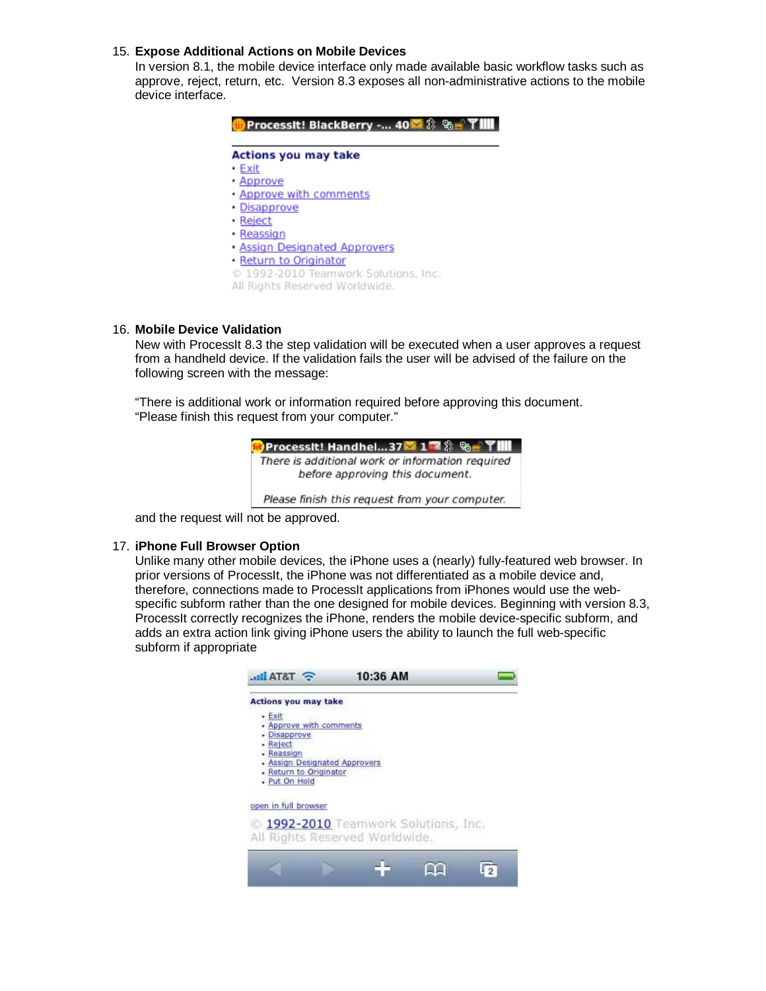# 15. **Expose Additional Actions on Mobile Devices**

In version 8.1, the mobile device interface only made available basic workflow tasks such as approve, reject, return, etc. Version 8.3 exposes all non-administrative actions to the mobile device interface.

| <b>Actions you may take</b>          |  |
|--------------------------------------|--|
| • Exit                               |  |
| • Approve                            |  |
| . Approve with comments              |  |
| • Disapprove                         |  |
| • Reject                             |  |
| • Reassign                           |  |
| · Assign Designated Approvers        |  |
| • Return to Originator               |  |
| © 1992-2010 Teamwork Solutions, Inc. |  |
| All Rights Reserved Worldwide.       |  |

# 16. **Mobile Device Validation**

New with ProcessIt 8.3 the step validation will be executed when a user approves a request from a handheld device. If the validation fails the user will be advised of the failure on the following screen with the message:

"There is additional work or information required before approving this document. "Please finish this request from your computer."



and the request will not be approved.

# 17. **iPhone Full Browser Option**

Unlike many other mobile devices, the iPhone uses a (nearly) fully-featured web browser. In prior versions of ProcessIt, the iPhone was not differentiated as a mobile device and, therefore, connections made to ProcessIt applications from iPhones would use the webspecific subform rather than the one designed for mobile devices. Beginning with version 8.3, ProcessIt correctly recognizes the iPhone, renders the mobile device-specific subform, and adds an extra action link giving iPhone users the ability to launch the full web-specific subform if appropriate

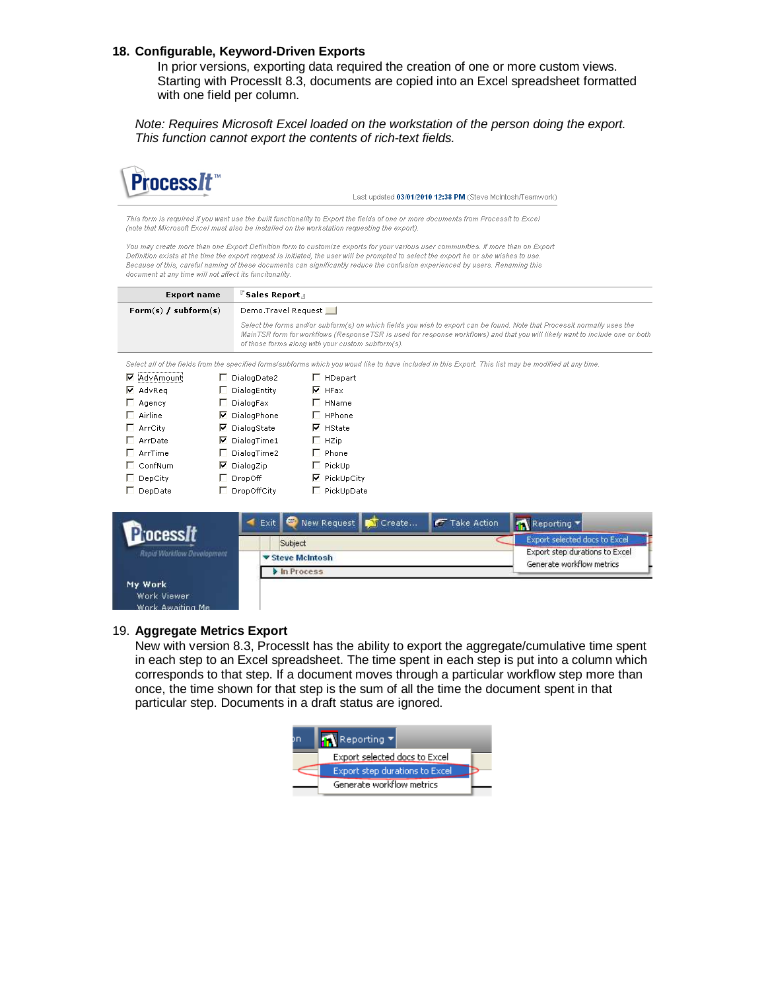# **18. Configurable, Keyword-Driven Exports**

In prior versions, exporting data required the creation of one or more custom views. Starting with ProcessIt 8.3, documents are copied into an Excel spreadsheet formatted with one field per column.

Note: Requires Microsoft Excel loaded on the workstation of the person doing the export. This function cannot export the contents of rich-text fields.



Last undated 03/01/2010 12:38 PM (Steve McIntosh/Teamwork)

This form is required if you want use the built functionality to Export the fields of one or more documents from Processit to Excel (note that Microsoft Excel must also be installed on the workstation requesting the export).

You may create more than one Export Definition form to customize exports for your various user communities. If more than on Export Definition exists at the time the export request is initiated, the user will be prompted to select the export he or she wishes to use Because of this, careful naming of these documents can significantly reduce the confusion experienced by users. Renaming this document at any time will not affect its funcitonality.

| <b>Export name</b>     | ์ Sales Report ။                                                                                                                                                                                                                                                                                               |
|------------------------|----------------------------------------------------------------------------------------------------------------------------------------------------------------------------------------------------------------------------------------------------------------------------------------------------------------|
| Form(s) $/$ subform(s) | Demo.Travel Request                                                                                                                                                                                                                                                                                            |
|                        | Select the forms and/or subform(s) on which fields you wish to export can be found. Note that Processit normally uses the<br>MainTSR form for workflows (ResponseTSR is used for response workflows) and that you will likely want to include one or both<br>of those forms along with your custom subform(s). |
|                        | Calact all of the fields form the executive formates between which you would like to have included in this Evand. This list may be modified at any time.                                                                                                                                                       |

| <b>▽</b> iAdvAmounti | □ DialogDate2        | □ HDepart           |
|----------------------|----------------------|---------------------|
| <b>▽</b> AdvReg      | $\Box$ DialogEntity  | $\nabla$ HFax       |
| Agency               | $\Box$ DialogFax     | HName               |
| Airline              | $\nabla$ DialogPhone | $\Box$ HPhone       |
| $\Box$ ArrCity       | <b>▽</b> DialogState | $\nabla$ HState     |
| ArrDate              | $\nabla$ DialogTime1 | $\Box$ HZip         |
| $\Box$ ArrTime       | DialogTime2          | $\Box$ Phone        |
| $\Box$ ConfNum       | $\nabla$ DialogZip   | $\Box$ PickUp       |
| DepCity              | $\Box$ DropOff       | <b>▽</b> PickUpCity |
| DepDate              | DropOffCity          | PickUpDate          |



#### 19. **Aggregate Metrics Export**

New with version 8.3, ProcessIt has the ability to export the aggregate/cumulative time spent in each step to an Excel spreadsheet. The time spent in each step is put into a column which corresponds to that step. If a document moves through a particular workflow step more than once, the time shown for that step is the sum of all the time the document spent in that particular step. Documents in a draft status are ignored.

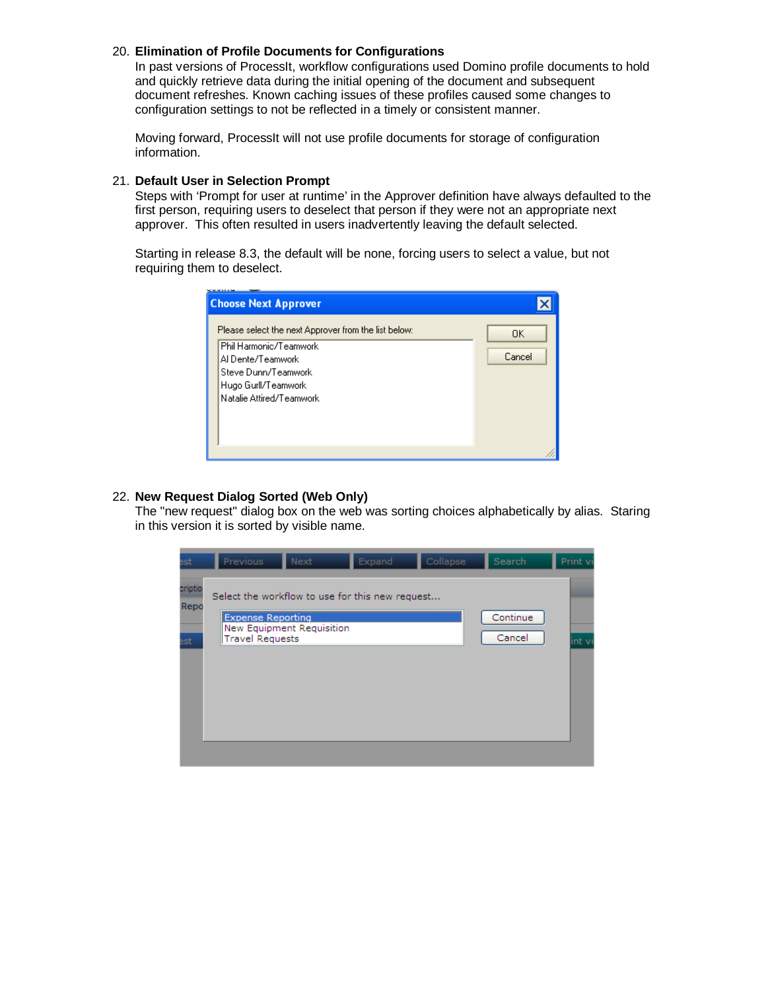# 20. **Elimination of Profile Documents for Configurations**

In past versions of ProcessIt, workflow configurations used Domino profile documents to hold and quickly retrieve data during the initial opening of the document and subsequent document refreshes. Known caching issues of these profiles caused some changes to configuration settings to not be reflected in a timely or consistent manner.

Moving forward, ProcessIt will not use profile documents for storage of configuration information.

# 21. **Default User in Selection Prompt**

Steps with 'Prompt for user at runtime' in the Approver definition have always defaulted to the first person, requiring users to deselect that person if they were not an appropriate next approver. This often resulted in users inadvertently leaving the default selected.

Starting in release 8.3, the default will be none, forcing users to select a value, but not requiring them to deselect.

| <b>Choose Next Approver</b>                                                                                                                                                   |              |
|-------------------------------------------------------------------------------------------------------------------------------------------------------------------------------|--------------|
| Please select the next Approver from the list below:<br>Phil Harmonic/Teamwork<br>Al Dente/Teamwork<br>Steve Dunn/Teamwork<br>Hugo Gurll/Teamwork<br>Natalie Attired/Teamwork | 0K<br>Cancel |
|                                                                                                                                                                               |              |

# 22. **New Request Dialog Sorted (Web Only)**

The "new request" dialog box on the web was sorting choices alphabetically by alias. Staring in this version it is sorted by visible name.

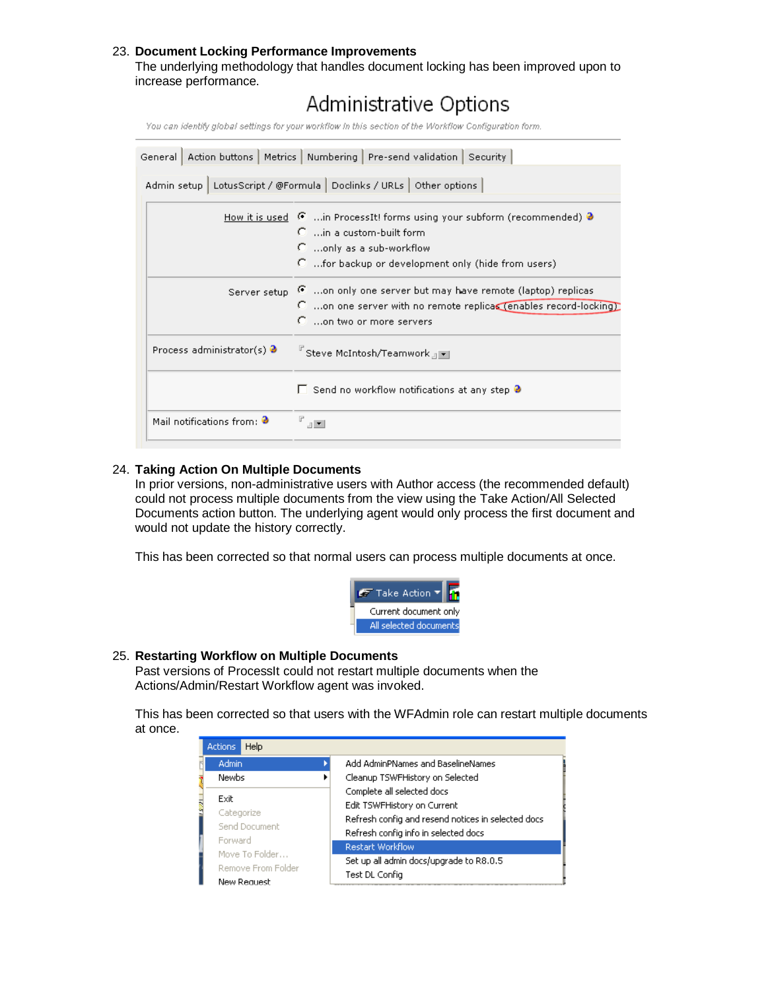# 23. **Document Locking Performance Improvements**

The underlying methodology that handles document locking has been improved upon to increase performance.

# Administrative Options

You can identify global settings for your workflow In this section of the Workflow Configuration form.

| General   Action buttons   Metrics   Numbering   Pre-send validation   Security |                                                                                                                                               |  |  |
|---------------------------------------------------------------------------------|-----------------------------------------------------------------------------------------------------------------------------------------------|--|--|
| Admin setup   LotusScript / @Formula   Doclinks / URLs   Other options          |                                                                                                                                               |  |  |
|                                                                                 | How it is used $\lceil \cdot \rceil$ in ProcessIt! forms using your subform (recommended) $\lceil \cdot \rceil$<br>C. in a custom-built form. |  |  |
|                                                                                 | $\Gamma$ only as a sub-workflow                                                                                                               |  |  |
|                                                                                 | C for backup or development only (hide from users)                                                                                            |  |  |
|                                                                                 | Server setup 6 on only one server but may have remote (laptop) replicas                                                                       |  |  |
|                                                                                 | C on one server with no remote replicas (enables record-locking)<br>$\Gamma$ on two or more servers                                           |  |  |
| Process administrator(s) $\bullet$                                              | <sup>『</sup> Steve McIntosh/Teamwork 』▼                                                                                                       |  |  |
|                                                                                 | $\Box$ Send no workflow notifications at any step $\partial$                                                                                  |  |  |
| Mail notifications from: $\bullet$                                              | $  \mathbf{v}  $                                                                                                                              |  |  |

# 24. **Taking Action On Multiple Documents**

In prior versions, non-administrative users with Author access (the recommended default) could not process multiple documents from the view using the Take Action/All Selected Documents action button. The underlying agent would only process the first document and would not update the history correctly.

This has been corrected so that normal users can process multiple documents at once.



#### 25. **Restarting Workflow on Multiple Documents**

Past versions of ProcessIt could not restart multiple documents when the Actions/Admin/Restart Workflow agent was invoked.

This has been corrected so that users with the WFAdmin role can restart multiple documents at once.

|                                                     | Actions | Help |                                                                                                                                                         |                         |  |
|-----------------------------------------------------|---------|------|---------------------------------------------------------------------------------------------------------------------------------------------------------|-------------------------|--|
| Admin<br><b>Newbs</b>                               |         |      | Add AdminPNames and BaselineNames                                                                                                                       |                         |  |
|                                                     |         |      | Cleanup TSWFHistory on Selected                                                                                                                         |                         |  |
| Exit                                                |         |      | Complete all selected docs<br>Edit TSWFHistory on Current<br>Refresh config and resend notices in selected docs<br>Refresh config info in selected docs |                         |  |
| Š<br>Categorize<br>Send Document                    |         |      |                                                                                                                                                         |                         |  |
|                                                     |         |      |                                                                                                                                                         |                         |  |
|                                                     |         |      |                                                                                                                                                         |                         |  |
|                                                     | Forward |      |                                                                                                                                                         | <b>Restart Workflow</b> |  |
| Move To Folder<br>Remove From Folder<br>New Request |         |      | Set up all admin docs/upgrade to R8.0.5<br>Test DL Config                                                                                               |                         |  |
|                                                     |         |      |                                                                                                                                                         |                         |  |
|                                                     |         |      |                                                                                                                                                         |                         |  |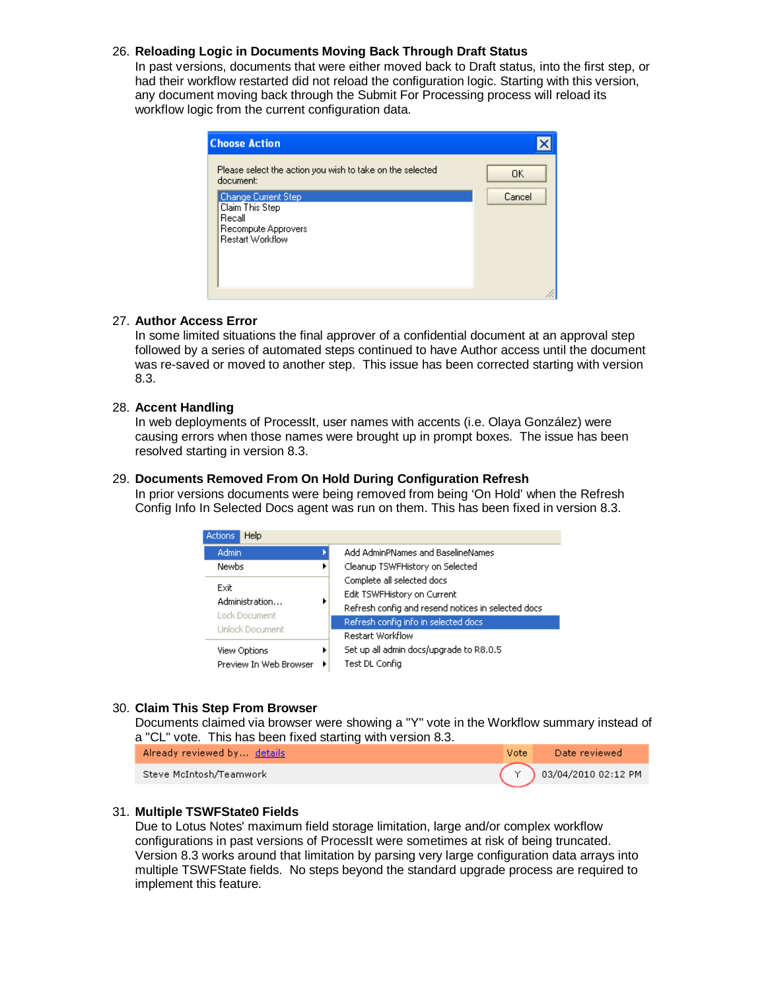# 26. **Reloading Logic in Documents Moving Back Through Draft Status**

In past versions, documents that were either moved back to Draft status, into the first step, or had their workflow restarted did not reload the configuration logic. Starting with this version, any document moving back through the Submit For Processing process will reload its workflow logic from the current configuration data.

| <b>Choose Action</b>                                                                               |        |
|----------------------------------------------------------------------------------------------------|--------|
| Please select the action you wish to take on the selected<br>document:                             | 0K     |
| <b>Change Current Step</b><br>Claim This Step<br>Recall<br>Recompute Approvers<br>Restart Workflow | Cancel |
|                                                                                                    |        |

# 27. **Author Access Error**

In some limited situations the final approver of a confidential document at an approval step followed by a series of automated steps continued to have Author access until the document was re-saved or moved to another step. This issue has been corrected starting with version 8.3.

# 28. **Accent Handling**

In web deployments of ProcessIt, user names with accents (i.e. Olaya González) were causing errors when those names were brought up in prompt boxes. The issue has been resolved starting in version 8.3.

# 29. **Documents Removed From On Hold During Configuration Refresh**

In prior versions documents were being removed from being 'On Hold' when the Refresh Config Info In Selected Docs agent was run on them. This has been fixed in version 8.3.

| Help<br><b>Actions</b>                                  |                         |                                                                                                                 |
|---------------------------------------------------------|-------------------------|-----------------------------------------------------------------------------------------------------------------|
| Admin                                                   |                         | Add AdminPNames and BaselineNames                                                                               |
| <b>Newbs</b><br>Exit<br>Administration<br>Lock Document |                         | Cleanup TSWFHistory on Selected                                                                                 |
|                                                         |                         | Complete all selected docs<br>Edit TSWFHistory on Current<br>Refresh config and resend notices in selected docs |
| Unlock Document                                         | <b>Restart Workflow</b> | Refresh config info in selected docs                                                                            |
|                                                         |                         |                                                                                                                 |
| View Options<br>Preview In Web Browser                  |                         | Set up all admin docs/upgrade to R8.0.5<br>Test DL Config                                                       |

# 30. **Claim This Step From Browser**

Documents claimed via browser were showing a "Y" vote in the Workflow summary instead of a "CL" vote. This has been fixed starting with version 8.3.

Already reviewed by. details

Steve McIntosh/Teamwork



# 31. **Multiple TSWFState0 Fields**

Due to Lotus Notes' maximum field storage limitation, large and/or complex workflow configurations in past versions of ProcessIt were sometimes at risk of being truncated. Version 8.3 works around that limitation by parsing very large configuration data arrays into multiple TSWFState fields. No steps beyond the standard upgrade process are required to implement this feature.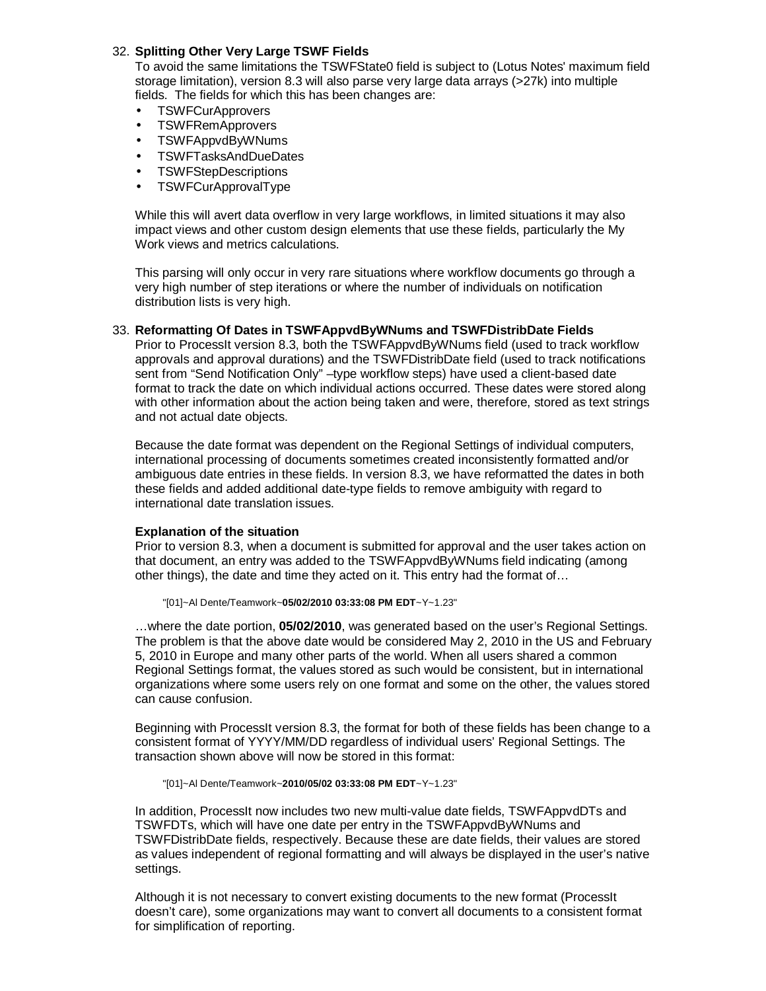# 32. **Splitting Other Very Large TSWF Fields**

To avoid the same limitations the TSWFState0 field is subject to (Lotus Notes' maximum field storage limitation), version 8.3 will also parse very large data arrays (>27k) into multiple fields. The fields for which this has been changes are:

- TSWFCurApprovers
- TSWFRemApprovers
- TSWFAppvdByWNums
- TSWFTasksAndDueDates
- TSWFStepDescriptions
- TSWFCurApprovalType

While this will avert data overflow in very large workflows, in limited situations it may also impact views and other custom design elements that use these fields, particularly the My Work views and metrics calculations.

This parsing will only occur in very rare situations where workflow documents go through a very high number of step iterations or where the number of individuals on notification distribution lists is very high.

# 33. **Reformatting Of Dates in TSWFAppvdByWNums and TSWFDistribDate Fields**

Prior to ProcessIt version 8.3, both the TSWFAppvdByWNums field (used to track workflow approvals and approval durations) and the TSWFDistribDate field (used to track notifications sent from "Send Notification Only" –type workflow steps) have used a client-based date format to track the date on which individual actions occurred. These dates were stored along with other information about the action being taken and were, therefore, stored as text strings and not actual date objects.

Because the date format was dependent on the Regional Settings of individual computers, international processing of documents sometimes created inconsistently formatted and/or ambiguous date entries in these fields. In version 8.3, we have reformatted the dates in both these fields and added additional date-type fields to remove ambiguity with regard to international date translation issues.

# **Explanation of the situation**

Prior to version 8.3, when a document is submitted for approval and the user takes action on that document, an entry was added to the TSWFAppvdByWNums field indicating (among other things), the date and time they acted on it. This entry had the format of…

"[01]~Al Dente/Teamwork~**05/02/2010 03:33:08 PM EDT**~Y~1.23"

…where the date portion, **05/02/2010**, was generated based on the user's Regional Settings. The problem is that the above date would be considered May 2, 2010 in the US and February 5, 2010 in Europe and many other parts of the world. When all users shared a common Regional Settings format, the values stored as such would be consistent, but in international organizations where some users rely on one format and some on the other, the values stored can cause confusion.

Beginning with ProcessIt version 8.3, the format for both of these fields has been change to a consistent format of YYYY/MM/DD regardless of individual users' Regional Settings. The transaction shown above will now be stored in this format:

"[01]~Al Dente/Teamwork~**2010/05/02 03:33:08 PM EDT**~Y~1.23"

In addition, ProcessIt now includes two new multi-value date fields, TSWFAppvdDTs and TSWFDTs, which will have one date per entry in the TSWFAppvdByWNums and TSWFDistribDate fields, respectively. Because these are date fields, their values are stored as values independent of regional formatting and will always be displayed in the user's native settings.

Although it is not necessary to convert existing documents to the new format (ProcessIt doesn't care), some organizations may want to convert all documents to a consistent format for simplification of reporting.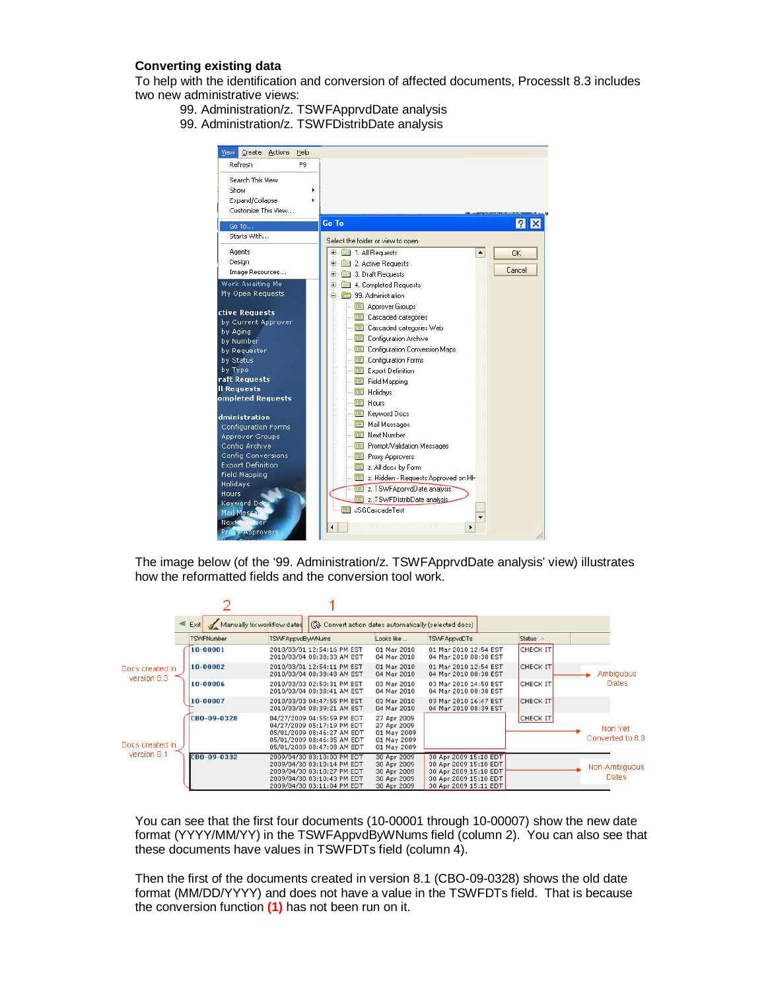# **Converting existing data**

To help with the identification and conversion of affected documents, ProcessIt 8.3 includes two new administrative views:

- 99. Administration/z. TSWFApprvdDate analysis
- 99. Administration/z. TSWFDistribDate analysis



The image below (of the '99. Administration/z. TSWFApprvdDate analysis' view) illustrates how the reformatted fields and the conversion tool work.

|                                | $\leq$ Exit       | Manually fix workflow dates                                                                                                                        | Convert action dates automatically (selected docs)                      |                                                                                                                           |                 |                               |
|--------------------------------|-------------------|----------------------------------------------------------------------------------------------------------------------------------------------------|-------------------------------------------------------------------------|---------------------------------------------------------------------------------------------------------------------------|-----------------|-------------------------------|
|                                | <b>TSWFNumber</b> | TSWFAppvdByVVNums                                                                                                                                  | Looks like                                                              | <b>TSWFAppvdDTs</b>                                                                                                       | Status ^        |                               |
|                                | 10-00001          | 2010/03/01 12:54:16 PM EST<br>2010/03/04 08:38:33 AM EST                                                                                           | 01 Mar 2010<br>04 Mar 2010                                              | 01 Mar 2010 12:54 EST<br>04 Mar 2010 08:38 EST                                                                            | <b>CHECK IT</b> |                               |
| Docs created in<br>version 8.3 | 10-00002          | 2010/03/01 12:54:11 PM EST<br>2010/03/04 08:38:48 AM EST                                                                                           | 01 Mar 2010<br>04 Mar 2010                                              | 01 Mar 2010 12:54 EST<br>04 Mar 2010 08:38 EST                                                                            | <b>CHECK IT</b> | Ambiguous                     |
|                                | 10-00006          | 2010/03/03 02:50:31 PM EST<br>2010/03/04 08:38:41 AM EST                                                                                           | 03 Mar 2010<br>04 Mar 2010                                              | 03 Mar 2010 14:50 EST<br>04 Mar 2010 08:38 EST                                                                            | <b>CHECK IT</b> | Dates                         |
|                                | 10-00007          | 2010/03/03 04:47:55 PM EST<br>2010/03/04 08:39:21 AM EST                                                                                           | 03 Mar 2010<br>04 Mar 2010                                              | 03 Mar 2010 16:47 EST<br>04 Mar 2010 08:39 EST                                                                            | <b>CHECK IT</b> |                               |
| Docs created in                | CBO-09-0328       | 04/27/2009 04:55:59 PM EDT<br>04/27/2009 05:17:19 PM EDT<br>05/01/2009 08:46:27 AM EDT<br>05/01/2009 08:46:35 AM EDT<br>05/01/2009 08:47:08 AM EDT | 27 Apr 2009<br>27 Apr 2009<br>01 May 2009<br>01 May 2009<br>01 May 2009 |                                                                                                                           | CHECK IT        | Non Yet<br>Converted to 8.3   |
| version 8.1                    | CBD-09-0332       | 2009/04/30 03:10:00 PM EDT<br>2009/04/30 03:10:14 PM EDT<br>2009/04/30 03:10:27 PM EDT<br>2009/04/30 03:10:43 PM EDT<br>2009/04/30 03:11:04 PM EDT | 30 Apr 2009<br>30 Apr 2009<br>30 Apr 2009<br>30 Apr 2009<br>30 Apr 2009 | 30 Apr 2009 15:10 EDT<br>30 Apr 2009 15:10 EDT<br>30 Apr 2009 15:10 EDT<br>30 Apr 2009 15:10 EDT<br>30 Apr 2009 15:11 EDT |                 | Non-Ambiguous<br><b>Dates</b> |

You can see that the first four documents (10-00001 through 10-00007) show the new date format (YYYY/MM/YY) in the TSWFAppvdByWNums field (column 2). You can also see that these documents have values in TSWFDTs field (column 4).

Then the first of the documents created in version 8.1 (CBO-09-0328) shows the old date format (MM/DD/YYYY) and does not have a value in the TSWFDTs field. That is because the conversion function **(1)** has not been run on it.